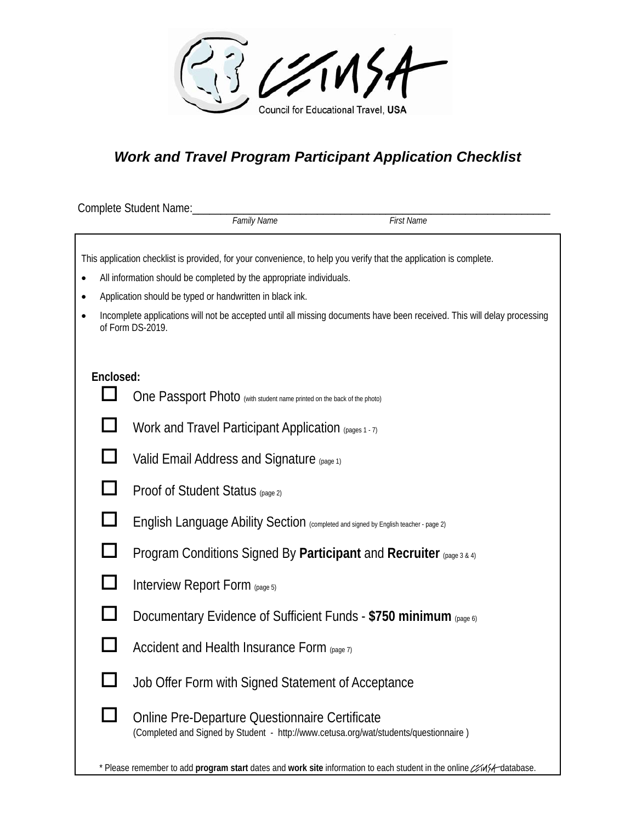

## *Work and Travel Program Participant Application Checklist*

|           | Complete Student Name:<br>Family Name                                                                                                       | <b>First Name</b> |
|-----------|---------------------------------------------------------------------------------------------------------------------------------------------|-------------------|
|           |                                                                                                                                             |                   |
|           | This application checklist is provided, for your convenience, to help you verify that the application is complete.                          |                   |
| ٠         | All information should be completed by the appropriate individuals.                                                                         |                   |
| $\bullet$ | Application should be typed or handwritten in black ink.                                                                                    |                   |
|           | Incomplete applications will not be accepted until all missing documents have been received. This will delay processing<br>of Form DS-2019. |                   |
|           |                                                                                                                                             |                   |
| Enclosed: |                                                                                                                                             |                   |
|           | One Passport Photo (with student name printed on the back of the photo)                                                                     |                   |
|           | Work and Travel Participant Application (pages 1 - 7)                                                                                       |                   |
|           | Valid Email Address and Signature (page 1)                                                                                                  |                   |
|           | Proof of Student Status (page 2)                                                                                                            |                   |
| ப         | English Language Ability Section (completed and signed by English teacher - page 2)                                                         |                   |
|           | Program Conditions Signed By Participant and Recruiter (page 3 & 4)                                                                         |                   |
|           | Interview Report Form (page 5)                                                                                                              |                   |
|           | Documentary Evidence of Sufficient Funds - \$750 minimum (page 6)                                                                           |                   |
|           | Accident and Health Insurance Form (page 7)                                                                                                 |                   |
|           | Job Offer Form with Signed Statement of Acceptance                                                                                          |                   |
|           | Online Pre-Departure Questionnaire Certificate<br>(Completed and Signed by Student - http://www.cetusa.org/wat/students/questionnaire)      |                   |
|           | * Please remember to add program start dates and work site information to each student in the online ///4/-database.                        |                   |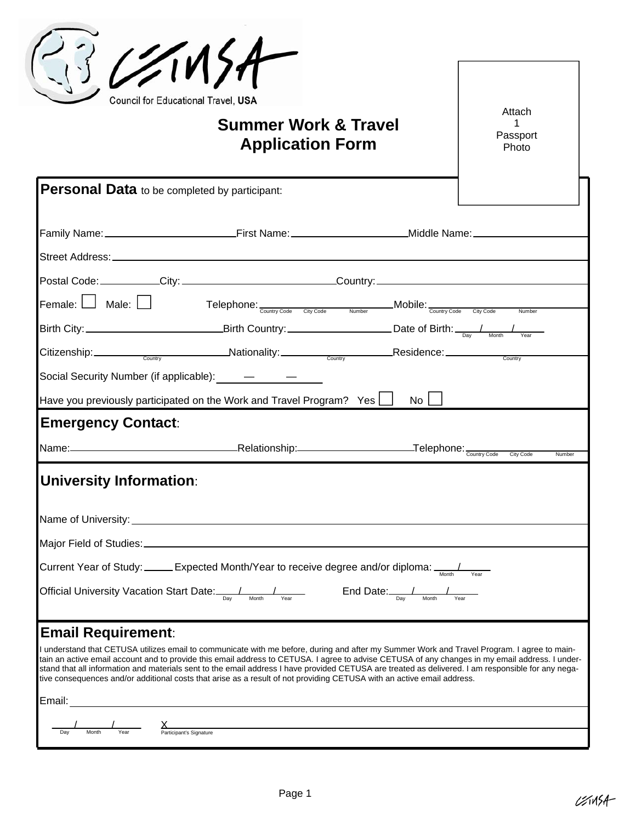|                                                                    | 121154<br>Council for Educational Travel, USA<br><b>Summer Work &amp; Travel</b><br><b>Application Form</b>                                                                                                                                                                                                                                                                                                                                                                                                                                                                    |                                               | Attach<br>1<br>Passport<br>Photo |
|--------------------------------------------------------------------|--------------------------------------------------------------------------------------------------------------------------------------------------------------------------------------------------------------------------------------------------------------------------------------------------------------------------------------------------------------------------------------------------------------------------------------------------------------------------------------------------------------------------------------------------------------------------------|-----------------------------------------------|----------------------------------|
| Personal Data to be completed by participant:                      |                                                                                                                                                                                                                                                                                                                                                                                                                                                                                                                                                                                |                                               |                                  |
|                                                                    |                                                                                                                                                                                                                                                                                                                                                                                                                                                                                                                                                                                |                                               |                                  |
|                                                                    | Postal Code: ___________City: ________________________________Country: _____________________________                                                                                                                                                                                                                                                                                                                                                                                                                                                                           |                                               |                                  |
| Female: $\Box$ Male: $\Box$                                        | Telephone: <sub>Country Code</sub> City Code Number Mobile: <sub>Country Code</sub> City Code                                                                                                                                                                                                                                                                                                                                                                                                                                                                                  |                                               | <b>Number</b>                    |
|                                                                    |                                                                                                                                                                                                                                                                                                                                                                                                                                                                                                                                                                                |                                               |                                  |
|                                                                    | Citizenship: Country Country Mationality: Country Residence: Country Residence Country                                                                                                                                                                                                                                                                                                                                                                                                                                                                                         |                                               |                                  |
|                                                                    | Social Security Number (if applicable): $\qquad -$                                                                                                                                                                                                                                                                                                                                                                                                                                                                                                                             |                                               |                                  |
|                                                                    | Have you previously participated on the Work and Travel Program? Yes $\Box$                                                                                                                                                                                                                                                                                                                                                                                                                                                                                                    | No <sub>1</sub>                               |                                  |
| <b>Emergency Contact:</b>                                          |                                                                                                                                                                                                                                                                                                                                                                                                                                                                                                                                                                                |                                               |                                  |
|                                                                    |                                                                                                                                                                                                                                                                                                                                                                                                                                                                                                                                                                                |                                               | City Code<br>Number              |
| <b>University Information:</b>                                     | Name of University: <u>contract the contract of the contract of the contract of the contract of the contract of the contract of the contract of the contract of the contract of the contract of the contract of the contract of </u>                                                                                                                                                                                                                                                                                                                                           |                                               |                                  |
| Official University Vacation Start Date: <u>Pay Monthelex vear</u> | Current Year of Study: _____Expected Month/Year to receive degree and/or diploma: $\frac{1}{\text{Normal}}$                                                                                                                                                                                                                                                                                                                                                                                                                                                                    | $End$ Date: $\frac{1}{\text{Day}}$ Month Year |                                  |
| <b>Email Requirement:</b><br>Email:                                | I understand that CETUSA utilizes email to communicate with me before, during and after my Summer Work and Travel Program. I agree to main-<br>tain an active email account and to provide this email address to CETUSA. I agree to advise CETUSA of any changes in my email address. I under-<br>stand that all information and materials sent to the email address I have provided CETUSA are treated as delivered. I am responsible for any nega-<br>tive consequences and/or additional costs that arise as a result of not providing CETUSA with an active email address. |                                               |                                  |
|                                                                    | <u> 1980 - Johann Barbara, martxa alemaniar amerikan a</u>                                                                                                                                                                                                                                                                                                                                                                                                                                                                                                                     |                                               |                                  |
| Day<br>Month<br>Year                                               | $\chi$<br>Participant's Signature                                                                                                                                                                                                                                                                                                                                                                                                                                                                                                                                              |                                               |                                  |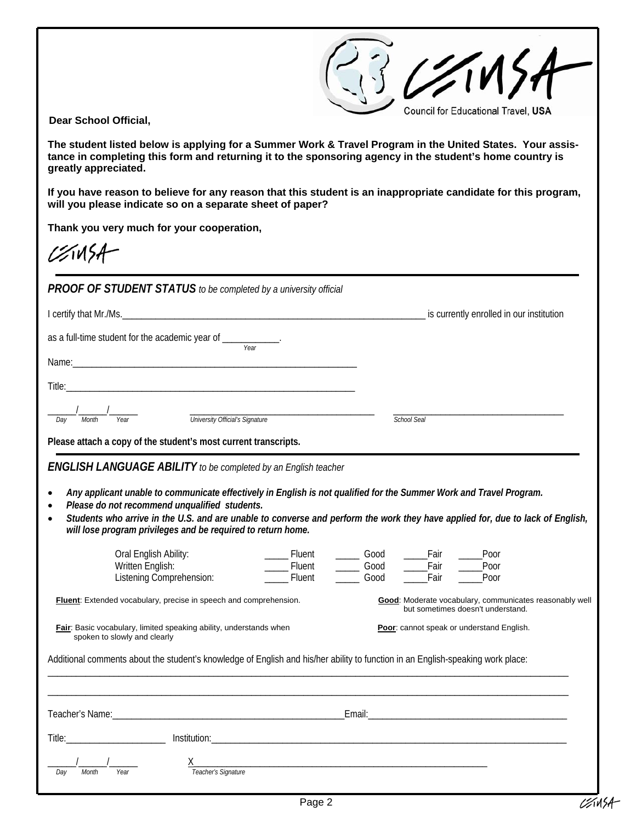23 C/M Council for Educational Travel, USA

 **Dear School Official,** 

**The student listed below is applying for a Summer Work & Travel Program in the United States. Your assistance in completing this form and returning it to the sponsoring agency in the student's home country is greatly appreciated.** 

**If you have reason to believe for any reason that this student is an inappropriate candidate for this program, will you please indicate so on a separate sheet of paper?** 

**Thank you very much for your cooperation,** 

 $12115A$ 

*PROOF OF STUDENT STATUS to be completed by a university official* 

|                                                                                                                                                                                                                                                                                                                                                                                                                                                                                           | is currently enrolled in our institution                                                                                                                                                                       |
|-------------------------------------------------------------------------------------------------------------------------------------------------------------------------------------------------------------------------------------------------------------------------------------------------------------------------------------------------------------------------------------------------------------------------------------------------------------------------------------------|----------------------------------------------------------------------------------------------------------------------------------------------------------------------------------------------------------------|
| as a full-time student for the academic year of ____________<br>Year                                                                                                                                                                                                                                                                                                                                                                                                                      |                                                                                                                                                                                                                |
|                                                                                                                                                                                                                                                                                                                                                                                                                                                                                           |                                                                                                                                                                                                                |
|                                                                                                                                                                                                                                                                                                                                                                                                                                                                                           |                                                                                                                                                                                                                |
| Year<br>Month<br>Dav                                                                                                                                                                                                                                                                                                                                                                                                                                                                      | School Seal                                                                                                                                                                                                    |
| Please attach a copy of the student's most current transcripts.                                                                                                                                                                                                                                                                                                                                                                                                                           |                                                                                                                                                                                                                |
| <b>ENGLISH LANGUAGE ABILITY</b> to be completed by an English teacher                                                                                                                                                                                                                                                                                                                                                                                                                     |                                                                                                                                                                                                                |
| Any applicant unable to communicate effectively in English is not qualified for the Summer Work and Travel Program.<br>Please do not recommend unqualified students.<br>Students who arrive in the U.S. and are unable to converse and perform the work they have applied for, due to lack of English,<br>٠<br>will lose program privileges and be required to return home.<br>Oral English Ability:<br>______ Fluent<br>Fluent<br>Written English:<br>Fluent<br>Listening Comprehension: | _____Fair<br>Poor<br>$\frac{1}{\sqrt{1-\frac{1}{2}}\sqrt{1-\frac{1}{2}}\cos\theta}$<br>$\frac{\phantom{0}}{\phantom{0}}\qquad\qquad\rm Good}$<br>$\overline{\phantom{a}}$ Fair<br>Poor<br>Good<br>Fair<br>Poor |
| Fluent: Extended vocabulary, precise in speech and comprehension.                                                                                                                                                                                                                                                                                                                                                                                                                         | Good: Moderate vocabulary, communicates reasonably well<br>but sometimes doesn't understand.                                                                                                                   |
| Fair: Basic vocabulary, limited speaking ability, understands when<br>spoken to slowly and clearly                                                                                                                                                                                                                                                                                                                                                                                        | Poor: cannot speak or understand English.                                                                                                                                                                      |
| Additional comments about the student's knowledge of English and his/her ability to function in an English-speaking work place:                                                                                                                                                                                                                                                                                                                                                           |                                                                                                                                                                                                                |
|                                                                                                                                                                                                                                                                                                                                                                                                                                                                                           |                                                                                                                                                                                                                |
|                                                                                                                                                                                                                                                                                                                                                                                                                                                                                           |                                                                                                                                                                                                                |
|                                                                                                                                                                                                                                                                                                                                                                                                                                                                                           |                                                                                                                                                                                                                |
| x<br>Teacher's Signature<br>Month<br>Year                                                                                                                                                                                                                                                                                                                                                                                                                                                 |                                                                                                                                                                                                                |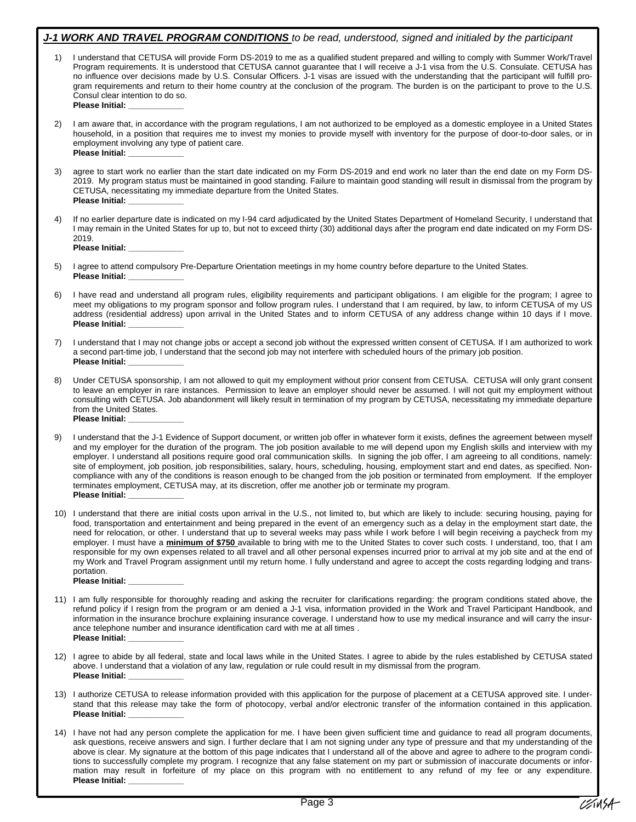|    | J-1 WORK AND TRAVEL PROGRAM CONDITIONS to be read, understood, signed and initialed by the participant                                                                                                                                                                                                                                                                                                                                                                                                                                                                                                                                                                                                                                                                                                                                                                                                                                    |
|----|-------------------------------------------------------------------------------------------------------------------------------------------------------------------------------------------------------------------------------------------------------------------------------------------------------------------------------------------------------------------------------------------------------------------------------------------------------------------------------------------------------------------------------------------------------------------------------------------------------------------------------------------------------------------------------------------------------------------------------------------------------------------------------------------------------------------------------------------------------------------------------------------------------------------------------------------|
| 1) | I understand that CETUSA will provide Form DS-2019 to me as a qualified student prepared and willing to comply with Summer Work/Travel<br>Program requirements. It is understood that CETUSA cannot guarantee that I will receive a J-1 visa from the U.S. Consulate. CETUSA has<br>no influence over decisions made by U.S. Consular Officers. J-1 visas are issued with the understanding that the participant will fulfill pro-<br>gram requirements and return to their home country at the conclusion of the program. The burden is on the participant to prove to the U.S.<br>Consul clear intention to do so.<br>Please Initial: ___________                                                                                                                                                                                                                                                                                       |
| 2) | I am aware that, in accordance with the program regulations, I am not authorized to be employed as a domestic employee in a United States<br>household, in a position that requires me to invest my monies to provide myself with inventory for the purpose of door-to-door sales, or in<br>employment involving any type of patient care.<br>Please Initial: <u>New York Contract Contract</u>                                                                                                                                                                                                                                                                                                                                                                                                                                                                                                                                           |
| 3) | agree to start work no earlier than the start date indicated on my Form DS-2019 and end work no later than the end date on my Form DS-<br>2019. My program status must be maintained in good standing. Failure to maintain good standing will result in dismissal from the program by<br>CETUSA, necessitating my immediate departure from the United States.<br>Please Initial: <b>Example 2019</b>                                                                                                                                                                                                                                                                                                                                                                                                                                                                                                                                      |
| 4) | If no earlier departure date is indicated on my I-94 card adjudicated by the United States Department of Homeland Security, I understand that<br>I may remain in the United States for up to, but not to exceed thirty (30) additional days after the program end date indicated on my Form DS-<br>2019.<br>Please Initial: ____________                                                                                                                                                                                                                                                                                                                                                                                                                                                                                                                                                                                                  |
| 5) | I agree to attend compulsory Pre-Departure Orientation meetings in my home country before departure to the United States.<br>Please Initial: ____________                                                                                                                                                                                                                                                                                                                                                                                                                                                                                                                                                                                                                                                                                                                                                                                 |
| 6) | I have read and understand all program rules, eligibility requirements and participant obligations. I am eligible for the program; I agree to<br>meet my obligations to my program sponsor and follow program rules. I understand that I am required, by law, to inform CETUSA of my US<br>address (residential address) upon arrival in the United States and to inform CETUSA of any address change within 10 days if I move.<br>Please Initial: <u>______________</u>                                                                                                                                                                                                                                                                                                                                                                                                                                                                  |
| 7) | I understand that I may not change jobs or accept a second job without the expressed written consent of CETUSA. If I am authorized to work<br>a second part-time job, I understand that the second job may not interfere with scheduled hours of the primary job position.<br>Please Initial: <u>______________</u>                                                                                                                                                                                                                                                                                                                                                                                                                                                                                                                                                                                                                       |
| 8) | Under CETUSA sponsorship, I am not allowed to quit my employment without prior consent from CETUSA. CETUSA will only grant consent<br>to leave an employer in rare instances. Permission to leave an employer should never be assumed. I will not quit my employment without<br>consulting with CETUSA. Job abandonment will likely result in termination of my program by CETUSA, necessitating my immediate departure<br>from the United States.<br>Please Initial: Networkship                                                                                                                                                                                                                                                                                                                                                                                                                                                         |
| 9) | I understand that the J-1 Evidence of Support document, or written job offer in whatever form it exists, defines the agreement between myself<br>and my employer for the duration of the program. The job position available to me will depend upon my English skills and interview with my<br>employer. I understand all positions require good oral communication skills. In signing the job offer, I am agreeing to all conditions, namely:<br>site of employment, job position, job responsibilities, salary, hours, scheduling, housing, employment start and end dates, as specified. Non-<br>compliance with any of the conditions is reason enough to be changed from the job position or terminated from employment. If the employer<br>terminates employment, CETUSA may, at its discretion, offer me another job or terminate my program.<br>Please Initial: _                                                                 |
|    | 10) I understand that there are initial costs upon arrival in the U.S., not limited to, but which are likely to include: securing housing, paying for<br>food, transportation and entertainment and being prepared in the event of an emergency such as a delay in the employment start date, the<br>need for relocation, or other. I understand that up to several weeks may pass while I work before I will begin receiving a paycheck from my<br>employer. I must have a minimum of \$750 available to bring with me to the United States to cover such costs. I understand, too, that I am<br>responsible for my own expenses related to all travel and all other personal expenses incurred prior to arrival at my job site and at the end of<br>my Work and Travel Program assignment until my return home. I fully understand and agree to accept the costs regarding lodging and trans-<br>portation.<br>Please Initial: Networks |
|    | 11) I am fully responsible for thoroughly reading and asking the recruiter for clarifications regarding: the program conditions stated above, the<br>refund policy if I resign from the program or am denied a J-1 visa, information provided in the Work and Travel Participant Handbook, and<br>information in the insurance brochure explaining insurance coverage. I understand how to use my medical insurance and will carry the insur-<br>ance telephone number and insurance identification card with me at all times.<br>Please Initial: Networkship                                                                                                                                                                                                                                                                                                                                                                             |
|    | 12) I agree to abide by all federal, state and local laws while in the United States. I agree to abide by the rules established by CETUSA stated<br>above. I understand that a violation of any law, regulation or rule could result in my dismissal from the program.<br>Please Initial: <u>__________</u>                                                                                                                                                                                                                                                                                                                                                                                                                                                                                                                                                                                                                               |
|    | 13) I authorize CETUSA to release information provided with this application for the purpose of placement at a CETUSA approved site. I under-<br>stand that this release may take the form of photocopy, verbal and/or electronic transfer of the information contained in this application.<br>Please Initial: Networkship                                                                                                                                                                                                                                                                                                                                                                                                                                                                                                                                                                                                               |
|    |                                                                                                                                                                                                                                                                                                                                                                                                                                                                                                                                                                                                                                                                                                                                                                                                                                                                                                                                           |

14) I have not had any person complete the application for me. I have been given sufficient time and guidance to read all program documents, ask questions, receive answers and sign. I further declare that I am not signing under any type of pressure and that my understanding of the above is clear. My signature at the bottom of this page indicates that I understand all of the above and agree to adhere to the program conditions to successfully complete my program. I recognize that any false statement on my part or submission of inaccurate documents or information may result in forfeiture of my place on this program with no entitlement to any refund of my fee or any expenditure. **Please Initial:**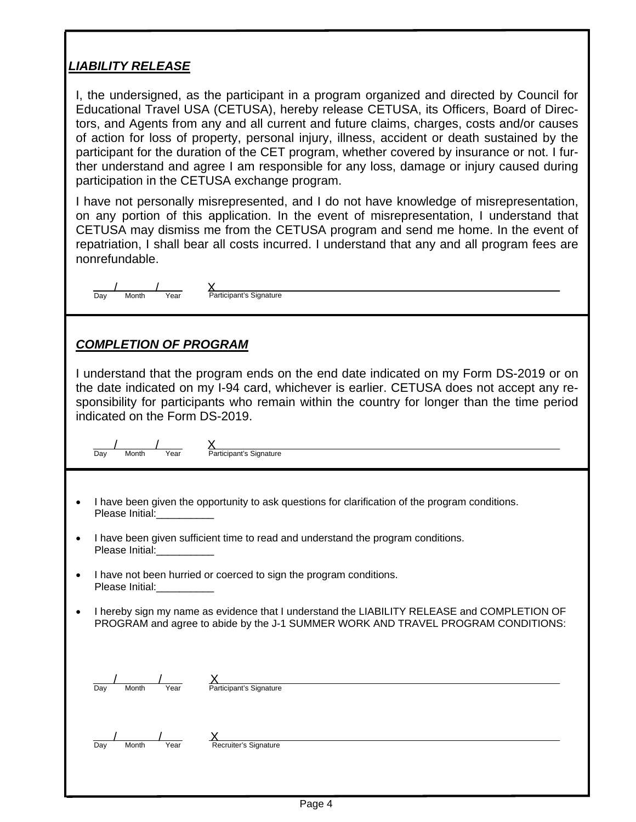## *LIABILITY RELEASE*

I, the undersigned, as the participant in a program organized and directed by Council for Educational Travel USA (CETUSA), hereby release CETUSA, its Officers, Board of Directors, and Agents from any and all current and future claims, charges, costs and/or causes of action for loss of property, personal injury, illness, accident or death sustained by the participant for the duration of the CET program, whether covered by insurance or not. I further understand and agree I am responsible for any loss, damage or injury caused during participation in the CETUSA exchange program.

I have not personally misrepresented, and I do not have knowledge of misrepresentation, on any portion of this application. In the event of misrepresentation, I understand that CETUSA may dismiss me from the CETUSA program and send me home. In the event of repatriation, I shall bear all costs incurred. I understand that any and all program fees are nonrefundable.

| Day | Month | Year | 'aı |
|-----|-------|------|-----|

## **Nontant**<br>Participant's Signature

## *COMPLETION OF PROGRAM*

I understand that the program ends on the end date indicated on my Form DS-2019 or on the date indicated on my I-94 card, whichever is earlier. CETUSA does not accept any responsibility for participants who remain within the country for longer than the time period indicated on the Form DS-2019.

Day Month Year Participant's Signature  $\frac{1}{\sqrt{2\pi}}$  X

- I have been given the opportunity to ask questions for clarification of the program conditions. Please Initial:
- I have been given sufficient time to read and understand the program conditions. Please Initial:
- I have not been hurried or coerced to sign the program conditions. Please Initial:
- I hereby sign my name as evidence that I understand the LIABILITY RELEASE and COMPLETION OF PROGRAM and agree to abide by the J-1 SUMMER WORK AND TRAVEL PROGRAM CONDITIONS:

| Dav | Month | Year | Participant's Signature |  |
|-----|-------|------|-------------------------|--|

Day Month Year Recruiter's Signature  $\frac{1}{2}$   $\frac{1}{2}$   $\frac{1}{2}$   $\frac{1}{2}$   $\frac{1}{2}$   $\frac{1}{2}$   $\frac{1}{2}$   $\frac{1}{2}$   $\frac{1}{2}$   $\frac{1}{2}$   $\frac{1}{2}$   $\frac{1}{2}$   $\frac{1}{2}$   $\frac{1}{2}$   $\frac{1}{2}$   $\frac{1}{2}$   $\frac{1}{2}$   $\frac{1}{2}$   $\frac{1}{2}$   $\frac{1}{2}$   $\frac{1}{2}$   $\frac{1}{2}$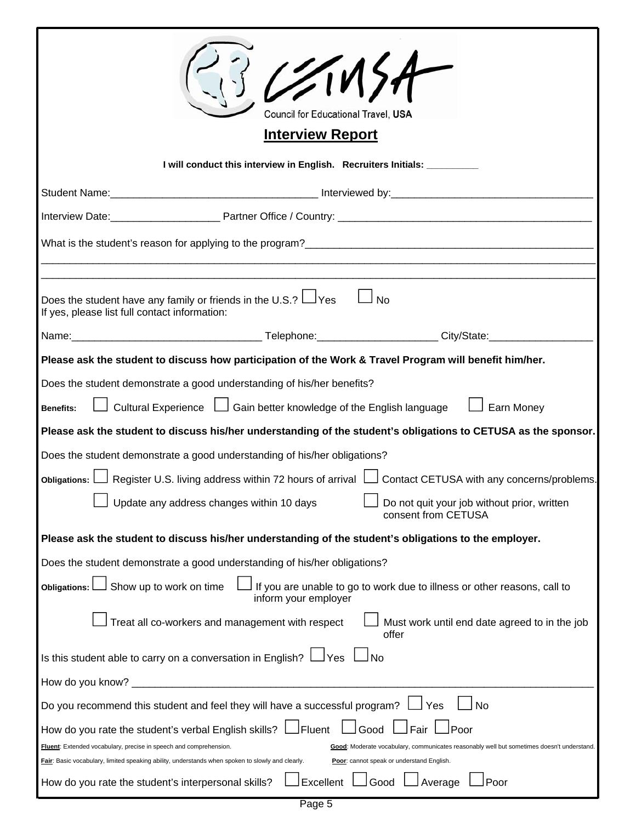|                                                                                                                                                                                                                                                                                                                                                                                                                                                                                                                                                                                                                                                                                                                                                                                                                                                                                                                                           | 221157<br>Council for Educational Travel, USA<br><b>Interview Report</b>                                                                                                                                                       |  |  |
|-------------------------------------------------------------------------------------------------------------------------------------------------------------------------------------------------------------------------------------------------------------------------------------------------------------------------------------------------------------------------------------------------------------------------------------------------------------------------------------------------------------------------------------------------------------------------------------------------------------------------------------------------------------------------------------------------------------------------------------------------------------------------------------------------------------------------------------------------------------------------------------------------------------------------------------------|--------------------------------------------------------------------------------------------------------------------------------------------------------------------------------------------------------------------------------|--|--|
|                                                                                                                                                                                                                                                                                                                                                                                                                                                                                                                                                                                                                                                                                                                                                                                                                                                                                                                                           | I will conduct this interview in English. Recruiters Initials: _________                                                                                                                                                       |  |  |
|                                                                                                                                                                                                                                                                                                                                                                                                                                                                                                                                                                                                                                                                                                                                                                                                                                                                                                                                           |                                                                                                                                                                                                                                |  |  |
|                                                                                                                                                                                                                                                                                                                                                                                                                                                                                                                                                                                                                                                                                                                                                                                                                                                                                                                                           |                                                                                                                                                                                                                                |  |  |
|                                                                                                                                                                                                                                                                                                                                                                                                                                                                                                                                                                                                                                                                                                                                                                                                                                                                                                                                           | What is the student's reason for applying to the program?                                                                                                                                                                      |  |  |
|                                                                                                                                                                                                                                                                                                                                                                                                                                                                                                                                                                                                                                                                                                                                                                                                                                                                                                                                           |                                                                                                                                                                                                                                |  |  |
| Does the student have any family or friends in the U.S.? $\Box$ Yes<br>If yes, please list full contact information:                                                                                                                                                                                                                                                                                                                                                                                                                                                                                                                                                                                                                                                                                                                                                                                                                      | $\Box$ No                                                                                                                                                                                                                      |  |  |
|                                                                                                                                                                                                                                                                                                                                                                                                                                                                                                                                                                                                                                                                                                                                                                                                                                                                                                                                           | Name: City/State: 2010 City / State: 2010 City / State: 2010 City / State: 2010 City / State: 2010 City / State: 2010 City / State: 2010 City / State: 2010 City / State: 2010 City / State: 2010 City / State: 2010 City / St |  |  |
| Please ask the student to discuss how participation of the Work & Travel Program will benefit him/her.<br>Does the student demonstrate a good understanding of his/her benefits?<br>Cultural Experience □ Gain better knowledge of the English language<br>$\Box$ Earn Money<br><b>Benefits:</b><br>Please ask the student to discuss his/her understanding of the student's obligations to CETUSA as the sponsor.<br>Does the student demonstrate a good understanding of his/her obligations?<br>Obligations: $\Box$ Register U.S. living address within 72 hours of arrival $\Box$ Contact CETUSA with any concerns/problems.<br>Update any address changes within 10 days<br>Do not quit your job without prior, written<br>consent from CETUSA<br>Please ask the student to discuss his/her understanding of the student's obligations to the employer.<br>Does the student demonstrate a good understanding of his/her obligations? |                                                                                                                                                                                                                                |  |  |
| Show up to work on time<br><b>Obligations:</b>                                                                                                                                                                                                                                                                                                                                                                                                                                                                                                                                                                                                                                                                                                                                                                                                                                                                                            | If you are unable to go to work due to illness or other reasons, call to<br>inform your employer                                                                                                                               |  |  |
| Treat all co-workers and management with respect                                                                                                                                                                                                                                                                                                                                                                                                                                                                                                                                                                                                                                                                                                                                                                                                                                                                                          | Must work until end date agreed to in the job<br>offer                                                                                                                                                                         |  |  |
| Is this student able to carry on a conversation in English? $\Box$ Yes                                                                                                                                                                                                                                                                                                                                                                                                                                                                                                                                                                                                                                                                                                                                                                                                                                                                    | ⊿No                                                                                                                                                                                                                            |  |  |
| How do you know? _                                                                                                                                                                                                                                                                                                                                                                                                                                                                                                                                                                                                                                                                                                                                                                                                                                                                                                                        |                                                                                                                                                                                                                                |  |  |
| Do you recommend this student and feel they will have a successful program?                                                                                                                                                                                                                                                                                                                                                                                                                                                                                                                                                                                                                                                                                                                                                                                                                                                               | Yes<br>No                                                                                                                                                                                                                      |  |  |
| How do you rate the student's verbal English skills?<br>Fluent: Extended vocabulary, precise in speech and comprehension.<br>Fair: Basic vocabulary, limited speaking ability, understands when spoken to slowly and clearly.<br>How do you rate the student's interpersonal skills?                                                                                                                                                                                                                                                                                                                                                                                                                                                                                                                                                                                                                                                      | Fluent<br>Fair<br>Good<br>Poor<br>Good: Moderate vocabulary, communicates reasonably well but sometimes doesn't understand.<br>Poor: cannot speak or understand English.<br>Excellent<br>Poor<br>Good<br>Average               |  |  |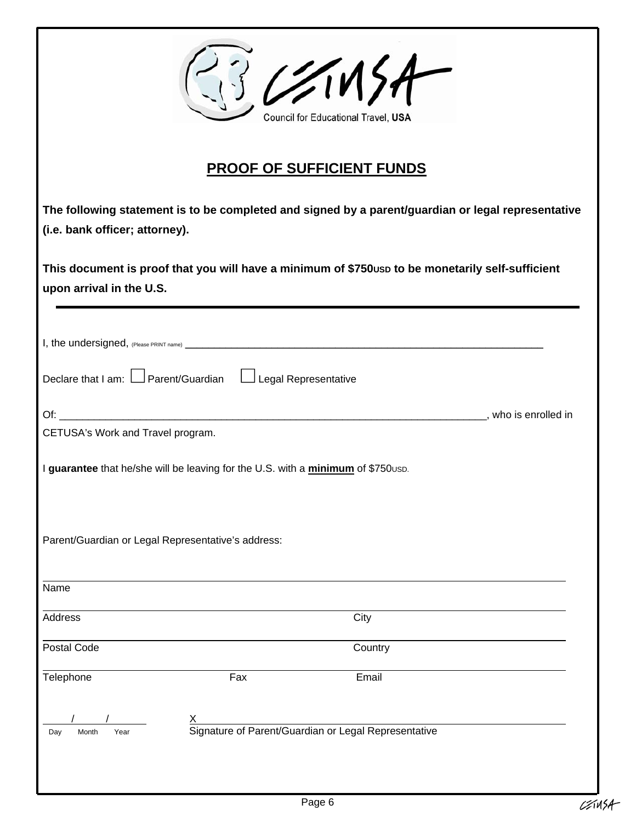|                                                                                                                              |     | 3 CSM5A<br>Council for Educational Travel, USA                                                     |                      |
|------------------------------------------------------------------------------------------------------------------------------|-----|----------------------------------------------------------------------------------------------------|----------------------|
|                                                                                                                              |     | <b>PROOF OF SUFFICIENT FUNDS</b>                                                                   |                      |
| (i.e. bank officer; attorney).                                                                                               |     | The following statement is to be completed and signed by a parent/guardian or legal representative |                      |
| This document is proof that you will have a minimum of \$750usp to be monetarily self-sufficient<br>upon arrival in the U.S. |     |                                                                                                    |                      |
| I, the undersigned, (Please PRINT name) _                                                                                    |     |                                                                                                    |                      |
| Declare that I am: $\Box$ Parent/Guardian $\Box$ Legal Representative                                                        |     |                                                                                                    |                      |
|                                                                                                                              |     |                                                                                                    | , who is enrolled in |
| CETUSA's Work and Travel program.                                                                                            |     |                                                                                                    |                      |
| I guarantee that he/she will be leaving for the U.S. with a minimum of \$750usp.                                             |     |                                                                                                    |                      |
| Parent/Guardian or Legal Representative's address:                                                                           |     |                                                                                                    |                      |
| Name                                                                                                                         |     |                                                                                                    |                      |
| <b>Address</b>                                                                                                               |     | City                                                                                               |                      |
| Postal Code                                                                                                                  |     | Country                                                                                            |                      |
| Telephone                                                                                                                    | Fax | Email                                                                                              |                      |
| Year<br>Day<br>Month                                                                                                         |     | Signature of Parent/Guardian or Legal Representative                                               |                      |